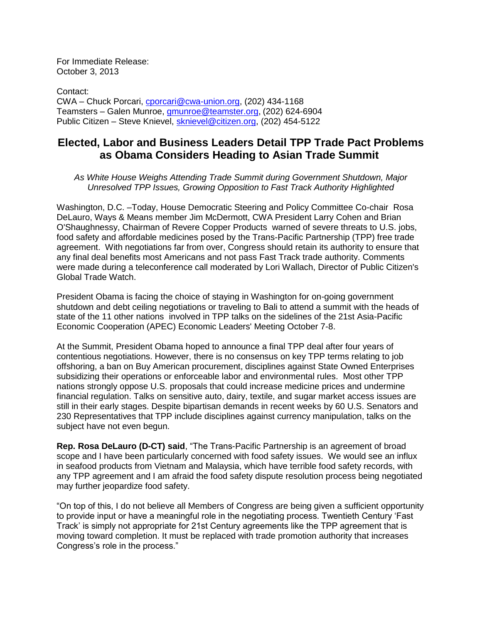For Immediate Release: October 3, 2013

Contact: CWA – Chuck Porcari, [cporcari@cwa-union.org,](mailto:cporcari@cwa-union.org) (202) 434-1168 Teamsters – Galen Munroe, [gmunroe@teamster.org,](mailto:gmunroe@teamster.org) (202) 624-6904 Public Citizen – Steve Knievel, [sknievel@citizen.org,](mailto:sknievel@citizen.org) (202) 454-5122

## **Elected, Labor and Business Leaders Detail TPP Trade Pact Problems as Obama Considers Heading to Asian Trade Summit**

*As White House Weighs Attending Trade Summit during Government Shutdown, Major Unresolved TPP Issues, Growing Opposition to Fast Track Authority Highlighted*

Washington, D.C. –Today, House Democratic Steering and Policy Committee Co-chair Rosa DeLauro, Ways & Means member Jim McDermott, CWA President Larry Cohen and Brian O'Shaughnessy, Chairman of Revere Copper Products warned of severe threats to U.S. jobs, food safety and affordable medicines posed by the Trans-Pacific Partnership (TPP) free trade agreement. With negotiations far from over, Congress should retain its authority to ensure that any final deal benefits most Americans and not pass Fast Track trade authority. Comments were made during a teleconference call moderated by Lori Wallach, Director of Public Citizen's Global Trade Watch.

President Obama is facing the choice of staying in Washington for on-going government shutdown and debt ceiling negotiations or traveling to Bali to attend a summit with the heads of state of the 11 other nations involved in TPP talks on the sidelines of the 21st Asia-Pacific Economic Cooperation (APEC) Economic Leaders' Meeting October 7-8.

At the Summit, President Obama hoped to announce a final TPP deal after four years of contentious negotiations. However, there is no consensus on key TPP terms relating to job offshoring, a ban on Buy American procurement, disciplines against State Owned Enterprises subsidizing their operations or enforceable labor and environmental rules. Most other TPP nations strongly oppose U.S. proposals that could increase medicine prices and undermine financial regulation. Talks on sensitive auto, dairy, textile, and sugar market access issues are still in their early stages. Despite bipartisan demands in recent weeks by 60 U.S. Senators and 230 Representatives that TPP include disciplines against currency manipulation, talks on the subject have not even begun.

**Rep. Rosa DeLauro (D-CT) said**, "The Trans-Pacific Partnership is an agreement of broad scope and I have been particularly concerned with food safety issues. We would see an influx in seafood products from Vietnam and Malaysia, which have terrible food safety records, with any TPP agreement and I am afraid the food safety dispute resolution process being negotiated may further jeopardize food safety.

"On top of this, I do not believe all Members of Congress are being given a sufficient opportunity to provide input or have a meaningful role in the negotiating process. Twentieth Century 'Fast Track' is simply not appropriate for 21st Century agreements like the TPP agreement that is moving toward completion. It must be replaced with trade promotion authority that increases Congress's role in the process."